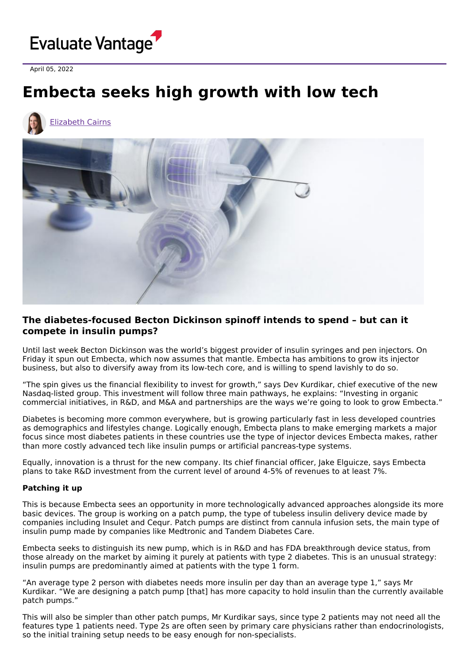

April 05, 2022

## **Embecta seeks high growth with low tech**



## **The diabetes-focused Becton Dickinson spinoff intends to spend – but can it compete in insulin pumps?**

Until last week Becton Dickinson was the world's biggest provider of insulin syringes and pen injectors. On Friday it spun out Embecta, which now assumes that mantle. Embecta has ambitions to grow its injector business, but also to diversify away from its low-tech core, and is willing to spend lavishly to do so.

"The spin gives us the financial flexibility to invest for growth," says Dev Kurdikar, chief executive of the new Nasdaq-listed group. This investment will follow three main pathways, he explains: "Investing in organic commercial initiatives, in R&D, and M&A and partnerships are the ways we're going to look to grow Embecta."

Diabetes is becoming more common everywhere, but is growing particularly fast in less developed countries as demographics and lifestyles change. Logically enough, Embecta plans to make emerging markets a major focus since most diabetes patients in these countries use the type of injector devices Embecta makes, rather than more costly advanced tech like insulin pumps or artificial pancreas-type systems.

Equally, innovation is a thrust for the new company. Its chief financial officer, Jake Elguicze, says Embecta plans to take R&D investment from the current level of around 4-5% of revenues to at least 7%.

## **Patching it up**

This is because Embecta sees an opportunity in more technologically advanced approaches alongside its more basic devices. The group is working on a patch pump, the type of tubeless insulin delivery device made by companies including Insulet and Cequr. Patch pumps are distinct from cannula infusion sets, the main type of insulin pump made by companies like Medtronic and Tandem Diabetes Care.

Embecta seeks to distinguish its new pump, which is in R&D and has FDA breakthrough device status, from those already on the market by aiming it purely at patients with type 2 diabetes. This is an unusual strategy: insulin pumps are predominantly aimed at patients with the type 1 form.

"An average type 2 person with diabetes needs more insulin per day than an average type 1," says Mr Kurdikar. "We are designing a patch pump [that] has more capacity to hold insulin than the currently available patch pumps."

This will also be simpler than other patch pumps, Mr Kurdikar says, since type 2 patients may not need all the features type 1 patients need. Type 2s are often seen by primary care physicians rather than endocrinologists, so the initial training setup needs to be easy enough for non-specialists.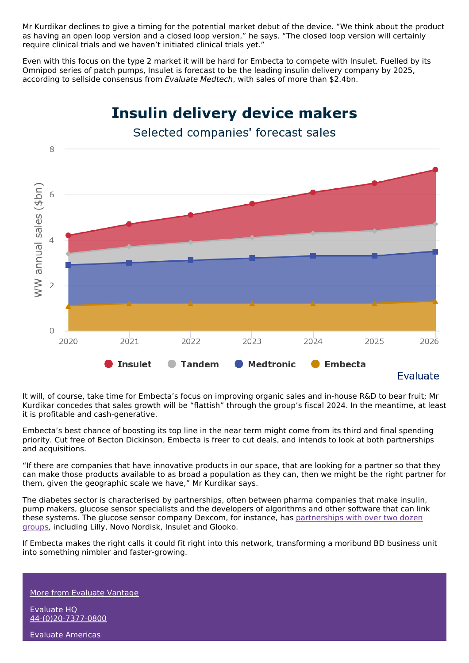Mr Kurdikar declines to give a timing for the potential market debut of the device. "We think about the product as having an open loop version and a closed loop version," he says. "The closed loop version will certainly require clinical trials and we haven't initiated clinical trials yet."

Even with this focus on the type 2 market it will be hard for Embecta to compete with Insulet. Fuelled by its Omnipod series of patch pumps, Insulet is forecast to be the leading insulin delivery company by 2025, according to sellside consensus from Evaluate Medtech, with sales of more than \$2.4bn.



It will, of course, take time for Embecta's focus on improving organic sales and in-house R&D to bear fruit; Mr Kurdikar concedes that sales growth will be "flattish" through the group's fiscal 2024. In the meantime, at least it is profitable and cash-generative.

Embecta's best chance of boosting its top line in the near term might come from its third and final spending priority. Cut free of Becton Dickinson, Embecta is freer to cut deals, and intends to look at both partnerships and acquisitions.

"If there are companies that have innovative products in our space, that are looking for a partner so that they can make those products available to as broad a population as they can, then we might be the right partner for them, given the geographic scale we have," Mr Kurdikar says.

The diabetes sector is characterised by partnerships, often between pharma companies that make insulin, pump makers, glucose sensor specialists and the developers of algorithms and other software that can link these systems. The glucose sensor company Dexcom, for instance, has [partnerships](https://provider.dexcom.com/dexcom-cgm/collaborators) with over two dozen groups, including Lilly, Novo Nordisk, Insulet and Glooko.

If Embecta makes the right calls it could fit right into this network, transforming a moribund BD business unit into something nimbler and faster-growing.

More from [Evaluate](https://www.evaluate.com/vantage) Vantage

Evaluate HQ [44-\(0\)20-7377-0800](tel:+44(0)20-7377-0800)

Evaluate Americas